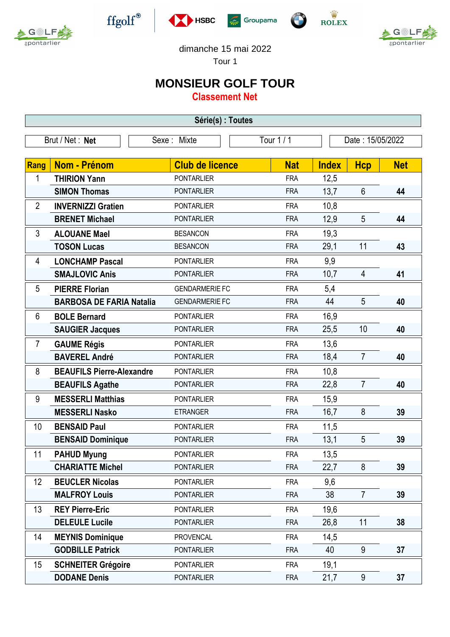



 $\operatorname{ffgolf}^{\circledast}$ 







dimanche 15 mai 2022

Tour 1

## **MONSIEUR GOLF TOUR**

**Classement Net**

| Série(s) : Toutes |                                  |                        |            |            |              |                  |            |
|-------------------|----------------------------------|------------------------|------------|------------|--------------|------------------|------------|
| Brut / Net: Net   |                                  | Sexe : Mixte           | Tour 1 / 1 |            |              | Date: 15/05/2022 |            |
|                   |                                  |                        |            |            |              |                  |            |
| Rang              | Nom - Prénom                     | <b>Club de licence</b> |            | <b>Nat</b> | <b>Index</b> | <b>Hcp</b>       | <b>Net</b> |
| 1                 | <b>THIRION Yann</b>              | <b>PONTARLIER</b>      |            | <b>FRA</b> | 12,5         |                  |            |
|                   | <b>SIMON Thomas</b>              | <b>PONTARLIER</b>      |            | <b>FRA</b> | 13,7         | $6\phantom{1}$   | 44         |
| $\overline{2}$    | <b>INVERNIZZI Gratien</b>        | <b>PONTARLIER</b>      |            | <b>FRA</b> | 10,8         |                  |            |
|                   | <b>BRENET Michael</b>            | <b>PONTARLIER</b>      |            | <b>FRA</b> | 12,9         | 5                | 44         |
| 3                 | <b>ALOUANE Mael</b>              | <b>BESANCON</b>        |            | <b>FRA</b> | 19,3         |                  |            |
|                   | <b>TOSON Lucas</b>               | <b>BESANCON</b>        |            | <b>FRA</b> | 29,1         | 11               | 43         |
| 4                 | <b>LONCHAMP Pascal</b>           | <b>PONTARLIER</b>      |            | <b>FRA</b> | 9,9          |                  |            |
|                   | <b>SMAJLOVIC Anis</b>            | <b>PONTARLIER</b>      |            | <b>FRA</b> | 10,7         | $\overline{4}$   | 41         |
| 5                 | <b>PIERRE Florian</b>            | <b>GENDARMERIE FC</b>  |            | <b>FRA</b> | 5,4          |                  |            |
|                   | <b>BARBOSA DE FARIA Natalia</b>  | <b>GENDARMERIE FC</b>  |            | <b>FRA</b> | 44           | 5                | 40         |
| 6                 | <b>BOLE Bernard</b>              | <b>PONTARLIER</b>      |            | <b>FRA</b> | 16,9         |                  |            |
|                   | <b>SAUGIER Jacques</b>           | <b>PONTARLIER</b>      |            | <b>FRA</b> | 25,5         | 10               | 40         |
| $\overline{7}$    | <b>GAUME Régis</b>               | <b>PONTARLIER</b>      |            | <b>FRA</b> | 13,6         |                  |            |
|                   | <b>BAVEREL André</b>             | <b>PONTARLIER</b>      |            | <b>FRA</b> | 18,4         | $\overline{7}$   | 40         |
| 8                 | <b>BEAUFILS Pierre-Alexandre</b> | <b>PONTARLIER</b>      |            | <b>FRA</b> | 10,8         |                  |            |
|                   | <b>BEAUFILS Agathe</b>           | <b>PONTARLIER</b>      |            | <b>FRA</b> | 22,8         | $\overline{7}$   | 40         |
| 9                 | <b>MESSERLI Matthias</b>         | <b>PONTARLIER</b>      |            | <b>FRA</b> | 15,9         |                  |            |
|                   | <b>MESSERLI Nasko</b>            | <b>ETRANGER</b>        |            | <b>FRA</b> | 16,7         | 8                | 39         |
| 10                | <b>BENSAID Paul</b>              | <b>PONTARLIER</b>      |            | <b>FRA</b> | 11,5         |                  |            |
|                   | <b>BENSAID Dominique</b>         | <b>PONTARLIER</b>      |            | <b>FRA</b> | 13,1         | 5                | 39         |
| 11                | <b>PAHUD Myung</b>               | <b>PONTARLIER</b>      |            | <b>FRA</b> | 13,5         |                  |            |
|                   | <b>CHARIATTE Michel</b>          | <b>PONTARLIER</b>      |            | <b>FRA</b> | 22,7         | 8                | 39         |
| 12                | <b>BEUCLER Nicolas</b>           | <b>PONTARLIER</b>      |            | <b>FRA</b> | 9,6          |                  |            |
|                   | <b>MALFROY Louis</b>             | <b>PONTARLIER</b>      |            | <b>FRA</b> | 38           | $\overline{7}$   | 39         |
| 13                | <b>REY Pierre-Eric</b>           | <b>PONTARLIER</b>      |            | <b>FRA</b> | 19,6         |                  |            |
|                   | <b>DELEULE Lucile</b>            | <b>PONTARLIER</b>      |            | <b>FRA</b> | 26,8         | 11               | 38         |
| 14                | <b>MEYNIS Dominique</b>          | <b>PROVENCAL</b>       |            | <b>FRA</b> | 14,5         |                  |            |
|                   | <b>GODBILLE Patrick</b>          | <b>PONTARLIER</b>      |            | <b>FRA</b> | 40           | 9                | 37         |
| 15                | <b>SCHNEITER Grégoire</b>        | <b>PONTARLIER</b>      |            | <b>FRA</b> | 19,1         |                  |            |
|                   | <b>DODANE Denis</b>              | <b>PONTARLIER</b>      |            | <b>FRA</b> | 21,7         | 9                | 37         |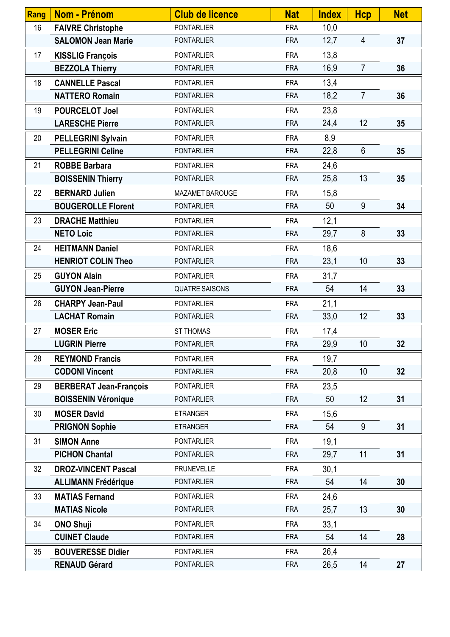| Rang | <b>Nom - Prénom</b>           | <b>Club de licence</b> | <b>Nat</b> | <b>Index</b> | <b>Hcp</b>     | <b>Net</b> |
|------|-------------------------------|------------------------|------------|--------------|----------------|------------|
| 16   | <b>FAIVRE Christophe</b>      | <b>PONTARLIER</b>      | <b>FRA</b> | 10,0         |                |            |
|      | <b>SALOMON Jean Marie</b>     | <b>PONTARLIER</b>      | <b>FRA</b> | 12,7         | 4              | 37         |
| 17   | <b>KISSLIG François</b>       | <b>PONTARLIER</b>      | <b>FRA</b> | 13,8         |                |            |
|      | <b>BEZZOLA Thierry</b>        | <b>PONTARLIER</b>      | <b>FRA</b> | 16,9         | $\overline{7}$ | 36         |
| 18   | <b>CANNELLE Pascal</b>        | <b>PONTARLIER</b>      | <b>FRA</b> | 13,4         |                |            |
|      | <b>NATTERO Romain</b>         | <b>PONTARLIER</b>      | <b>FRA</b> | 18,2         | $\overline{7}$ | 36         |
| 19   | <b>POURCELOT Joel</b>         | <b>PONTARLIER</b>      | <b>FRA</b> | 23,8         |                |            |
|      | <b>LARESCHE Pierre</b>        | <b>PONTARLIER</b>      | <b>FRA</b> | 24,4         | 12             | 35         |
| 20   | <b>PELLEGRINI Sylvain</b>     | <b>PONTARLIER</b>      | <b>FRA</b> | 8,9          |                |            |
|      | <b>PELLEGRINI Celine</b>      | <b>PONTARLIER</b>      | <b>FRA</b> | 22,8         | $6\phantom{1}$ | 35         |
| 21   | <b>ROBBE Barbara</b>          | <b>PONTARLIER</b>      | <b>FRA</b> | 24,6         |                |            |
|      | <b>BOISSENIN Thierry</b>      | <b>PONTARLIER</b>      | <b>FRA</b> | 25,8         | 13             | 35         |
| 22   | <b>BERNARD Julien</b>         | MAZAMET BAROUGE        | <b>FRA</b> | 15,8         |                |            |
|      | <b>BOUGEROLLE Florent</b>     | <b>PONTARLIER</b>      | <b>FRA</b> | 50           | 9              | 34         |
| 23   | <b>DRACHE Matthieu</b>        | <b>PONTARLIER</b>      | <b>FRA</b> | 12,1         |                |            |
|      | <b>NETO Loic</b>              | <b>PONTARLIER</b>      | <b>FRA</b> | 29,7         | 8              | 33         |
| 24   | <b>HEITMANN Daniel</b>        | <b>PONTARLIER</b>      | <b>FRA</b> | 18,6         |                |            |
|      | <b>HENRIOT COLIN Theo</b>     | <b>PONTARLIER</b>      | <b>FRA</b> | 23,1         | 10             | 33         |
| 25   | <b>GUYON Alain</b>            | <b>PONTARLIER</b>      | <b>FRA</b> | 31,7         |                |            |
|      | <b>GUYON Jean-Pierre</b>      | <b>QUATRE SAISONS</b>  | <b>FRA</b> | 54           | 14             | 33         |
| 26   | <b>CHARPY Jean-Paul</b>       | <b>PONTARLIER</b>      | <b>FRA</b> | 21,1         |                |            |
|      | <b>LACHAT Romain</b>          | <b>PONTARLIER</b>      | <b>FRA</b> | 33,0         | 12             | 33         |
| 27   | <b>MOSER Eric</b>             | ST THOMAS              | <b>FRA</b> | 17,4         |                |            |
|      | <b>LUGRIN Pierre</b>          | PONTARLIER             | <b>FRA</b> | 29,9         | 10             | 32         |
| 28   | <b>REYMOND Francis</b>        | <b>PONTARLIER</b>      | <b>FRA</b> | 19,7         |                |            |
|      | <b>CODONI Vincent</b>         | <b>PONTARLIER</b>      | <b>FRA</b> | 20,8         | 10             | 32         |
| 29   | <b>BERBERAT Jean-François</b> | <b>PONTARLIER</b>      | <b>FRA</b> | 23,5         |                |            |
|      | <b>BOISSENIN Véronique</b>    | <b>PONTARLIER</b>      | <b>FRA</b> | 50           | 12             | 31         |
| 30   | <b>MOSER David</b>            | <b>ETRANGER</b>        | <b>FRA</b> | 15,6         |                |            |
|      | <b>PRIGNON Sophie</b>         | <b>ETRANGER</b>        | <b>FRA</b> | 54           | 9              | 31         |
| 31   | <b>SIMON Anne</b>             | <b>PONTARLIER</b>      | <b>FRA</b> | 19,1         |                |            |
|      | <b>PICHON Chantal</b>         | <b>PONTARLIER</b>      | <b>FRA</b> | 29,7         | 11             | 31         |
| 32   | <b>DROZ-VINCENT Pascal</b>    | <b>PRUNEVELLE</b>      | <b>FRA</b> | 30,1         |                |            |
|      | <b>ALLIMANN Frédérique</b>    | <b>PONTARLIER</b>      | <b>FRA</b> | 54           | 14             | 30         |
| 33   | <b>MATIAS Fernand</b>         | <b>PONTARLIER</b>      | <b>FRA</b> | 24,6         |                |            |
|      | <b>MATIAS Nicole</b>          | <b>PONTARLIER</b>      | <b>FRA</b> | 25,7         | 13             | 30         |
| 34   | <b>ONO Shuji</b>              | <b>PONTARLIER</b>      | <b>FRA</b> | 33,1         |                |            |
|      | <b>CUINET Claude</b>          | <b>PONTARLIER</b>      | <b>FRA</b> | 54           | 14             | 28         |
| 35   | <b>BOUVERESSE Didier</b>      | <b>PONTARLIER</b>      | <b>FRA</b> | 26,4         |                |            |
|      | <b>RENAUD Gérard</b>          | <b>PONTARLIER</b>      | <b>FRA</b> | 26,5         | 14             | 27         |